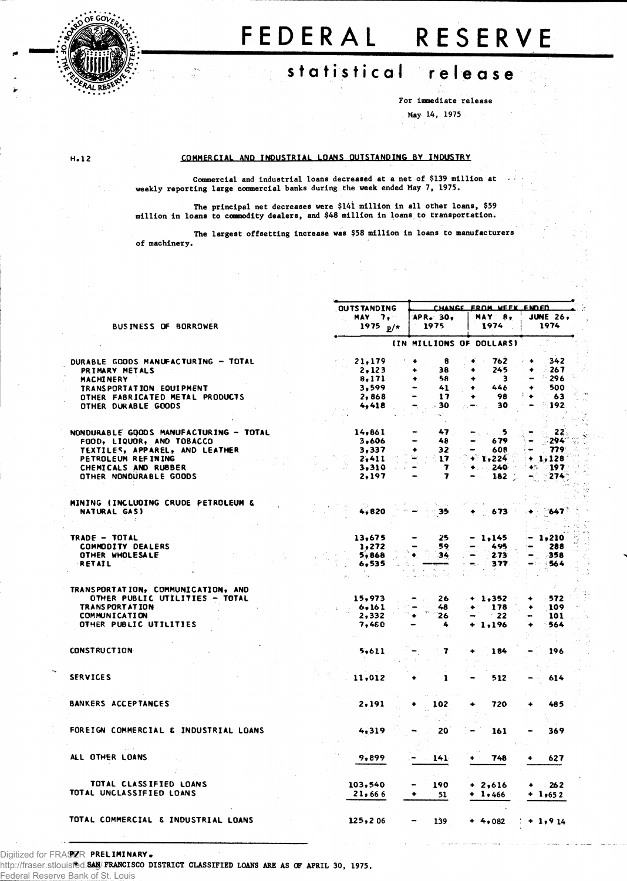

 $H - 12$ 

# FEDERAL RESERVE

# statistical release

For immediate release

(シャム)

May 14, 1975

# COMMERCIAL AND INDUSTRIAL LOANS OUTSTANDING BY INDUSTRY

Commercial and industrial loans decreased at a net of \$139 million at weekly reporting large commercial banks during the week ended May 7, 1975.

The principal net decreases were \$141 million in all other loans, \$59<br>million in loans to commodity dealers, and \$48 million in loans to transportation.

The largest offsetting increase was \$58 million in loans to manufacturers of machinery.

|                                        |  |                     | CHANGE FROM WEEK ENDED   |                             |   |                          |                     |  |  |
|----------------------------------------|--|---------------------|--------------------------|-----------------------------|---|--------------------------|---------------------|--|--|
|                                        |  | <b>OUTS TANDING</b> |                          |                             |   |                          |                     |  |  |
|                                        |  | MAY 7,              |                          | APR. 30,                    |   | MAX B,                   | <b>JUNE 26.</b>     |  |  |
| <b>BUSINESS OF BORROWER</b>            |  | 1975 $p/*$          |                          | 1975                        |   | 1974                     | 1974                |  |  |
|                                        |  |                     |                          |                             |   |                          |                     |  |  |
|                                        |  |                     |                          |                             |   | (IN MILLIONS OF DOLLARS) |                     |  |  |
| DURABLE GOODS MANUFACTURING - TOTAL    |  | 21,179              |                          | 8                           |   | 762                      | 342<br>۰            |  |  |
|                                        |  |                     |                          | 38                          |   | 245                      | $-267$              |  |  |
| PRIMARY METALS                         |  | 2.123               | ۰                        |                             |   |                          |                     |  |  |
| <b>MACHINERY</b>                       |  | 8,171               |                          | 58                          |   | з                        | $-296$              |  |  |
| TRANSPORTATION EQUIPMENT               |  | 3,599               |                          | 41                          |   | 446                      | 500                 |  |  |
| OTHER FABRICATED METAL PRODUCTS        |  | 2,868               |                          | 17                          |   | 98                       | 63                  |  |  |
| OTHER DURABLE GOODS                    |  | 4,418               |                          | 30                          |   | 30                       | $-192$              |  |  |
|                                        |  |                     |                          |                             |   |                          |                     |  |  |
|                                        |  |                     |                          |                             |   |                          |                     |  |  |
| NONDURABLE GOODS MANUFACTURING - TOTAL |  | 14,861              |                          | 47                          |   | - 5                      | - 22                |  |  |
| FOOD, LIQUOR, AND TOBACCO              |  | 3,606               |                          | 48                          |   | 679                      | 294                 |  |  |
| TEXTILES, APPAREL, AND LEATHER         |  | 3,337               |                          | 32                          |   | 608                      | 779                 |  |  |
| PETROLEUM REFINING                     |  | 2,411               |                          | 17                          |   | r, 224                   | $+1,128$            |  |  |
| CHEMICALS AND RUBBER                   |  | 3,310               | $\overline{\phantom{a}}$ | -7                          |   | 240                      | - 197<br>妙心         |  |  |
|                                        |  |                     |                          |                             |   |                          |                     |  |  |
| OTHER NONDURABLE GOODS                 |  | 2,197               |                          | $\overline{\mathbf{z}}$     |   | $182 -$                  | 274                 |  |  |
|                                        |  |                     |                          |                             |   |                          |                     |  |  |
| MINING (INCLUDING CRUDE PETROLEUM &    |  |                     |                          | No. St.                     |   |                          |                     |  |  |
| NATURAL GAS)                           |  | 4,820               |                          | 35                          |   | $-673$                   | $-647$<br>$\bullet$ |  |  |
|                                        |  |                     |                          |                             |   |                          |                     |  |  |
|                                        |  |                     |                          |                             |   |                          |                     |  |  |
| TRADE - TOTAL                          |  | 13,675              |                          | 25                          |   | 1,145                    | 1,210               |  |  |
| <b>COMMODITY DEALERS</b>               |  | 1,272               |                          | 59                          |   | 495                      | 288                 |  |  |
|                                        |  |                     |                          |                             |   |                          |                     |  |  |
| OTHER WHOLESALE                        |  | 5,868               | ۰                        | 34                          |   | 2.73                     | 358                 |  |  |
| RETAIL                                 |  | 6,535               |                          | and a<br>$\sigma_{\rm e}$ . |   | 377                      | 564                 |  |  |
|                                        |  |                     |                          | Sec. 1                      |   |                          |                     |  |  |
|                                        |  |                     |                          |                             |   |                          |                     |  |  |
| TRANSPORTATION, COMMUNICATION, AND     |  |                     |                          |                             |   |                          |                     |  |  |
| OTHER PUBLIC UTILITIES - TOTAL         |  | 15,973              |                          | $\sim$ 26                   |   | $+ 1,352$                | 572                 |  |  |
| <b>TRANSPORTATION</b>                  |  | 6.161               |                          | $-48$                       | ٠ | 178                      | 109                 |  |  |
| <b>COMMUNICATION</b>                   |  | 2,332               | ٠                        | m ji<br>26                  |   | $-22$                    | 101                 |  |  |
| OTHER PUBLIC UTILITIES                 |  | 7,480               |                          | 4                           |   | $+ 1,196$                | 564                 |  |  |
|                                        |  |                     |                          |                             |   |                          |                     |  |  |
|                                        |  |                     |                          |                             |   |                          |                     |  |  |
| <b>CONSTRUCTION</b>                    |  | 5,611               |                          | 7                           |   | 184                      | 196                 |  |  |
|                                        |  |                     |                          |                             |   |                          |                     |  |  |
|                                        |  |                     |                          |                             |   |                          |                     |  |  |
| <b>SERVICES</b>                        |  | 11,012              |                          | 1                           |   | 512                      | 614                 |  |  |
|                                        |  |                     |                          |                             |   |                          |                     |  |  |
| <b>BANKERS ACCEPTANCES</b>             |  | 2,191               |                          | 102                         |   | 720                      | 485                 |  |  |
|                                        |  |                     |                          |                             |   |                          |                     |  |  |
|                                        |  |                     |                          |                             |   |                          |                     |  |  |
| FOREIGN COMMERCIAL & INDUSTRIAL LOANS  |  | 4,319               |                          | 20                          |   |                          |                     |  |  |
|                                        |  |                     |                          |                             |   | 161                      | 369                 |  |  |
|                                        |  |                     |                          |                             |   |                          |                     |  |  |
|                                        |  |                     |                          |                             |   |                          |                     |  |  |
| ALL OTHER LOANS                        |  | 9,899               |                          | 141                         |   | 748                      | 627                 |  |  |
|                                        |  |                     |                          |                             |   |                          |                     |  |  |
|                                        |  |                     |                          |                             |   |                          |                     |  |  |
| TOTAL CLASSIFIED LOANS                 |  | 103,540             |                          | 190                         |   | $+2,616$                 | 262<br>۰            |  |  |
| TOTAL UNCLASSIFIED LOANS               |  | 21,666              | ۰                        | 51                          |   | $+ 1,466$                | $+1,652$            |  |  |
|                                        |  |                     |                          |                             |   |                          |                     |  |  |
|                                        |  |                     |                          |                             |   |                          |                     |  |  |
| TOTAL COMMERCIAL & INDUSTRIAL LOANS    |  | 125, 206            |                          | 139                         |   | $+4,082$                 | $+1,914$            |  |  |
|                                        |  |                     |                          |                             |   |                          |                     |  |  |

# Digitized for FRASZR PRELIMINARY.

http://fraser.stlouisfed.SAN/FRANCISCO DISTRICT CLASSIFIED LOANS ARE AS OF APRIL 30, 1975. Federal Reserve Bank of St. Louis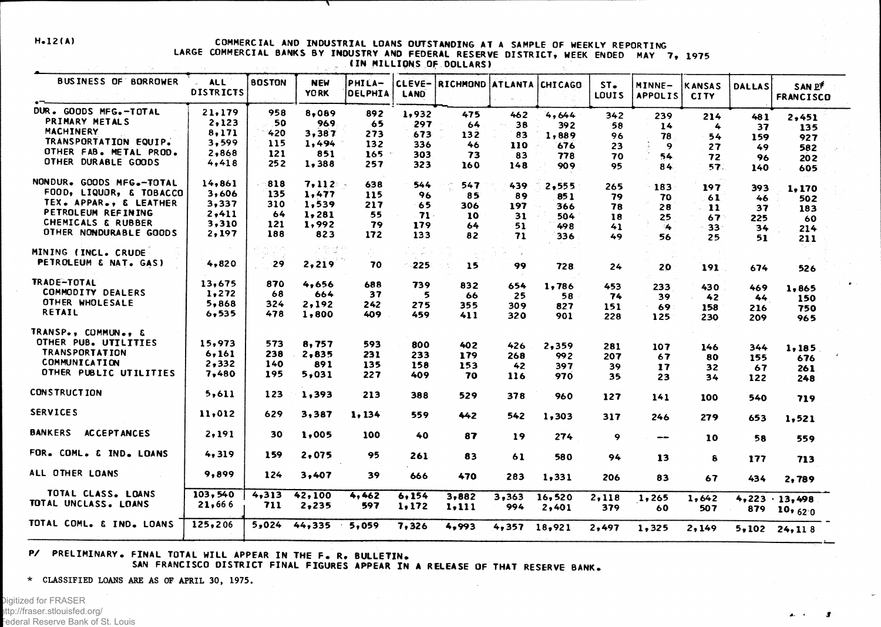### **H.12(A) COMMERCIAL AND INDUSTRIAL LOANS OUTSTANDING AT A SAMPLE OF WEEKLY REPORTING LARGE COMMERCIAL BANKS BY INDUSTRY AND FEDERAL RESERVE DISTRICT, WEEK ENDED MAY 7, 1975 IIN MILLIONS OF DOLLARS)**  $\sim 10^{11}$

**T** 

| <b>BUSINESS OF BORROWER</b>   | <b>ALL</b><br><b>DISTRICTS</b> | <b>BOSTON</b> | <b>NEW</b><br><b>YORK</b> | PHILA-<br><b>DELPHIA</b> | CLEVE-<br><b>LAND</b> | RICHMOND ATLANTA CHICAGO |                |        | ST <sub>•</sub><br>LOUIS | MINNE-<br><b>APPOLIS</b> | <b>KANSAS</b><br><b>CITY</b> | <b>DALLAS</b> | SAN P<br>FRANCISCO                       |  |
|-------------------------------|--------------------------------|---------------|---------------------------|--------------------------|-----------------------|--------------------------|----------------|--------|--------------------------|--------------------------|------------------------------|---------------|------------------------------------------|--|
| DUR. GOODS MFG.-TOTAL         | 21,179                         | 958           | 8,089                     | 892                      | 1,932                 | 475                      | 462            | 4,644  | 342                      | 239                      | 214                          | 481           | 2,451                                    |  |
| PRIMARY METALS                | 2,123                          | 50            | 969                       | 65                       | 297                   | 64                       | 38             | 392    | 58                       | 14                       | 4                            | 37            | 135                                      |  |
| <b>MACHINERY</b>              | 8,171                          | 420           | 3,387                     | 273                      | 673                   | 132                      | 83             | 1,889  | 96                       | 78                       | 54                           | 159           | 927                                      |  |
| TRANSPORTATION EQUIP.         | 3,599                          | 115           | 1,494                     | 132                      | 336                   | 46                       | 110            | 676    | 23                       | 9                        | 27                           | 49            | 582                                      |  |
| OTHER FAB. METAL PROD.        | 2,868                          | 121           | 851                       | 165                      | 303                   | 73                       | 83             | 778    | 70                       | 54                       | 72                           | 96            |                                          |  |
| OTHER DURABLE GOODS           | 4,418                          | 252           | 1,388                     | 257                      | 323                   | 160                      | 148            | 909    | 95                       | 84                       | 57.                          | 140           | 202<br>605                               |  |
| NONDUR. GOODS MFG.-TOTAL      | 14,861                         | 818           | 7,112                     | 638                      | 544                   | 547                      | 439            | 2,555  | 265                      | 183                      | 197                          | 393           |                                          |  |
| FOOD, LIQUOR, & TOBACCO       | 3,606                          | 135           | 1,477                     | 115                      | 96                    | 85                       | 89             | 85 1   | 79                       | 70                       | 61                           | 46            | 1,170                                    |  |
| TEX. APPAR., & LEATHER        | 3,337                          | 310           | 1,539                     | 217                      | 65                    | 306                      | 197            | 366    | 78                       | 28                       | $-11$                        | 37            | 502                                      |  |
| PETROLEUM REFINING            | 2,411                          | 64            | 1,281                     | 55                       | $71-$                 | 10                       | 31             | 504    | 18                       | 25                       | 67                           |               | 183                                      |  |
| <b>CHEMICALS &amp; RUBBER</b> | 3,310                          | 121           | 1,992                     | 79                       | 179                   | 64                       | 51             | 498    | 41                       | 14                       | 33 <sup>°</sup>              | 225           | 60                                       |  |
| OTHER NONDURABLE GOODS        | 2,197                          | 188           | 823                       | 172                      | 133                   | 82                       | 71             | 336    | 49                       | 56                       | 25                           | 34<br>51      | 214<br>211                               |  |
| MINING (INCL. CRUDE           |                                |               | 결혼 연락                     |                          |                       |                          |                |        |                          |                          |                              |               |                                          |  |
| PETROLEUM & NAT. GAS)         | 4,820                          | $-29$         | 2,219                     | 70                       | $-225$                | 15                       | 99             | 728    | 24                       | 20                       | 191.                         | 674           | 526                                      |  |
| TRADE-TOTAL                   | 13,675                         | 870           | 4,656                     | 688                      | 739                   | 832                      | 654            | 1,786  | 453                      | 233                      | 430                          | 469           | 1,865                                    |  |
| COMMODITY DEALERS             | 1,272                          | 68            | 664                       | 37                       | 5                     | 66                       | 25             | 58     | 74                       | 39                       | 42                           | 44            | 150                                      |  |
| OTHER WHOLESALE               | 5,868                          | 324           | 2,192                     | 242                      | 275                   | 355                      | 309            | 827    | 151                      | 69                       | 158                          | 216           | 750                                      |  |
| RETAIL                        | 6, 535                         | 478           | 1,800                     | 409                      | 459                   | 411                      | 320            | 901    | 228                      | $125$                    | 230                          | 209           | 965                                      |  |
| TRANSP., COMMUN., &           |                                |               |                           |                          |                       |                          |                |        |                          |                          |                              |               |                                          |  |
| OTHER PUB. UTILITIES          | 15,973                         | 573           | 8,757                     | 593                      | 800                   | 402                      | 426            | 2,359  | 281                      | 107                      | 146                          | 344           |                                          |  |
| <b>TRANSPORTATION</b>         | 6,161                          | 238           | 2,835                     | 231                      | 233                   | 179                      | 268            | 992    | 207                      | 67                       | 80                           | 155           | 1,185                                    |  |
| <b>COMMUNICATION</b>          | 2,332                          | 140           | 891                       | 135                      | 158                   | 153                      | 42             | 397    | 39                       | 17                       | 32                           | 67            | 676                                      |  |
| OTHER PUBLIC UTILITIES        | 7,480                          | 195           | 5,031                     | 227                      | 409                   | 70                       | 116            | 970    | 35                       | 23                       | 34                           | 122           | 261<br>248                               |  |
| <b>CONSTRUCTION</b>           | 5,611                          | 123           | 1,393                     | 213                      | 388                   | 529                      | 378            | 960    | 127                      | 141                      | 100                          | 540           | 719                                      |  |
| <b>SERVICES</b>               | 11,012                         | 629           | 3,387                     | 1,134                    | 559                   | 442                      | 542            | 1,303  | 317                      | 246                      | 279                          | 653           | 1,521                                    |  |
| BANKERS ACCEPTANCES           | 2,191                          | 30            | 1,005                     | 100                      | 40                    | 87                       | 19             | 274    | 9                        | $-$                      | 10                           | 58            | 559                                      |  |
| FOR. COML. & IND. LOANS       | 4,319                          | 159           | 2.075                     | 95                       | 261                   | 83                       | 61             | 580    | 94                       | 13                       | 8                            | 177           | 713                                      |  |
| ALL OTHER LOANS               | 9,899                          | 124           | 3,407                     | 39                       | 666                   | 470                      | 283            | 1,331  | 206                      | 83                       | 67                           | 434           | 2,789                                    |  |
| TOTAL CLASS. LOANS            | 103,540                        | 4,313         | 42,100                    | 4,462                    | 6,154                 | 3,882                    | 3,363          | 16,520 | 2,118                    | 1,265                    | 1,642                        |               |                                          |  |
| TOTAL UNCLASS. LOANS          | 21,666                         | 711           | 2,235                     | 597                      | 1,172                 | 1,111                    | 994            | 2,401  | 379                      | 60                       | 507                          | 879           | $4,223 \cdot 13,498$<br>10, $62^\circ$ 0 |  |
| TOTAL COML. & IND. LOANS      | 125,206                        | 5,024         | 44,335                    | 5,059                    | 7,326                 | 4,993                    | $4,357$ 18,921 |        | 2,497                    | 1,325                    | 2,149                        |               | $5,102$ 24, 118                          |  |
|                               |                                |               |                           |                          |                       |                          |                |        |                          |                          |                              |               |                                          |  |

# **P/ PRELIMINARY. FINAL TOTAL WILL APPEAR IN THE F . R, BULLETIN,**

**SAN FRANCISCO DISTRICT FINAL FIGURES APPEAR IN A RELEASE OF THAT RESERVE BANK.**

**\* CLASSIFIED LOANS ARE AS OF APRIL 30, 1975.**

 $\mathbf{A}$  and  $\mathbf{A}$  $\mathbf{r}$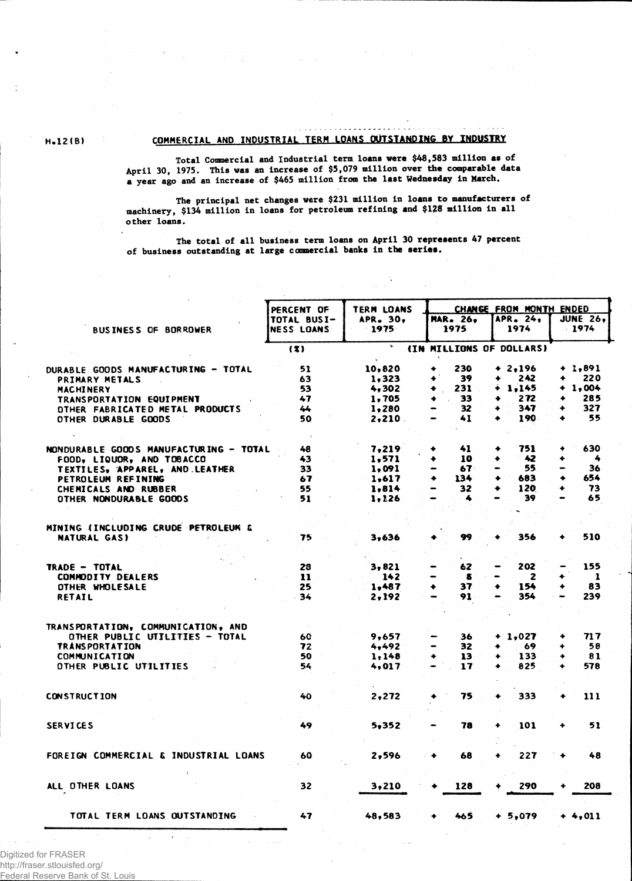# **8.12(B) COMMERCIAL AND INDUSTRIAL TERM LOANS OUTSTANDING BY INDUSTRY**

**Total Commercial and Industrial term loans were \$48,583 million as of April 30, 1975. This was an increase of \$5,079 million over the comparable data a year ago and an increase of \$465 million from the last Wednesday in March.**

**The principal net changes were \$231 million in loans to manufacturers of machinery, \$134 million in loans for petroleum refining and \$128 million in all other loans.**

**The total of all business term loans on April 30 represents 47 percent of business outstanding at large commercial banks in the series.**

|                                        | PERCENT OF        | <b>TERM LOANS</b> |                          | CHANGE FROM MONTH ENDED |                 |  |  |  |  |
|----------------------------------------|-------------------|-------------------|--------------------------|-------------------------|-----------------|--|--|--|--|
|                                        | TOTAL BUSI-       | APR. 30,          | <b>MAR. 26.</b>          | APR. 24,                | <b>JUNE 26.</b> |  |  |  |  |
| <b>BUSINESS OF BORROWER</b>            | <b>NESS LOANS</b> | $-1975$           | 1975                     | 1974                    | $-1974$         |  |  |  |  |
|                                        | (3)               | ٠                 | (IN MILLIONS OF DOLLARS) |                         |                 |  |  |  |  |
| DURABLE GOODS MANUFACTURING - TOTAL    | 51                | 10,820            | 230<br>۰                 | $+ 2.196$               | $+ 1,891$       |  |  |  |  |
| PRIMARY METALS                         | 63                | 1,323             | 39<br>۰                  | 242<br>۰                | 220             |  |  |  |  |
| MACHINERY                              | 53                | 4,302             | 231                      | 1.145                   | 1,004           |  |  |  |  |
| <b>TRANSPORTATION EQUIPMENT</b>        | 47                | 1,705             | 33                       | 272                     | 285<br>۰        |  |  |  |  |
| OTHER FABRICATED METAL PRODUCTS        | 44                | 1,280             | 32                       | 347                     | 327<br>۰        |  |  |  |  |
| OTHER DURABLE GOODS                    | 50                | $2,210$ .         | 41                       | 190                     | 55              |  |  |  |  |
| NONDURABLE GOODS MANUFACTURING - TOTAL | 48                | 7,219             | 41                       | 751<br>۰                | 630<br>۰        |  |  |  |  |
| FOOD, LIQUOR, AND TOBACCO              | 43                | 1,571             | 10<br>٠                  | 42                      | 4               |  |  |  |  |
| TEXTILES, APPAREL, AND LEATHER         | 33                | 1,091             | 67.                      | 55                      | 36              |  |  |  |  |
| PETROLEUM REFINING                     | 67                | 1,617             | 134<br>۰                 | 683                     | 654<br>۰        |  |  |  |  |
| CHEMICALS AND RUBBER                   | 55                | 1.814             | 32<br>-                  | 120                     | 73              |  |  |  |  |
| OTHER NONDURABLE GOODS                 | 51                | 1,126             | 4                        | 39                      | 65              |  |  |  |  |
| MINING (INCLUDING CRUDE PETROLEUM &    |                   |                   |                          |                         |                 |  |  |  |  |
| <b>NATURAL GAS)</b>                    | 75                | 3,636             | 99                       | 356                     | 510             |  |  |  |  |
|                                        |                   |                   |                          |                         |                 |  |  |  |  |
| TRADE - TOTAL                          | 28                | 3,821             | 62                       | 202                     | 155             |  |  |  |  |
| <b>COMMODITY DEALERS</b>               | 11                | 142               | 8                        | $\mathbf{z}$            | -1              |  |  |  |  |
| OTHER WHOLESALE                        | 25                | 1,487             | 37                       | 154                     | 83              |  |  |  |  |
| RETAIL                                 | 34                | 2,192             | 91                       | 354                     | 239             |  |  |  |  |
| TRANSPORTATION, COMMUNICATION, AND     |                   |                   |                          |                         |                 |  |  |  |  |
| OTHER PUBLIC UTILITIES - TOTAL         | 60                | 9,657             | 36                       | $+ 1,027$               | 717             |  |  |  |  |
| <b>TRANSPORTATION</b>                  | 72                | 4,492             | 32                       | 69                      | 58              |  |  |  |  |
| <b>COMMUNICATION</b>                   | 50                | 1,148             | 13<br>۰                  | 133                     | 81<br>٠         |  |  |  |  |
| OTHER PUBLIC UTILITIES                 | 54                | 4,017             | 17                       | 825                     | 578             |  |  |  |  |
| <b>CONSTRUCTION</b>                    | 40                | 2,272             | 75                       | 333                     | 111             |  |  |  |  |
|                                        |                   |                   |                          |                         |                 |  |  |  |  |
| <b>SERVICES</b>                        | 49                | 5,352             | 78                       | 101                     | 51<br>۰         |  |  |  |  |
| FOREIGN COMMERCIAL & INDUSTRIAL LOANS  | 60                | 2,596             | 68<br>٠                  | 227                     | 48              |  |  |  |  |
| ALL OTHER LOANS                        | 32                | 3,210             | 128                      | 290                     | 208             |  |  |  |  |
|                                        |                   |                   |                          |                         |                 |  |  |  |  |
| TOTAL TERM LOANS OUTSTANDING           | 47                | 48,583            | 465                      | $+ 5,079$               | $+4,011$        |  |  |  |  |

Digitized for FRASER http://fraser.stlouisfed.org/

Federal Reserve Bank of St. Louis